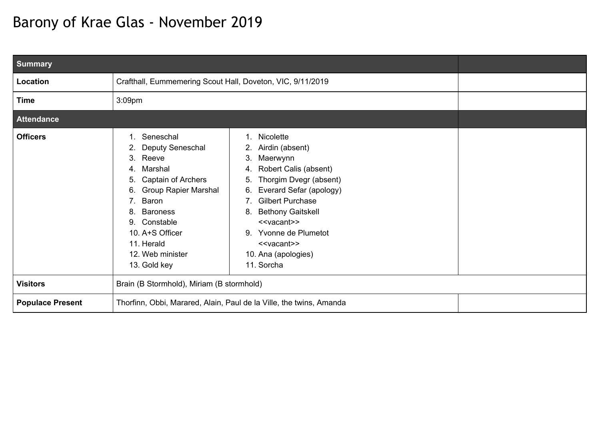## Barony of Krae Glas - November 2019

| <b>Summary</b>          |                                                                                                                                                                                                                                                                                  |                                                                                                                                                                                                                                                                                                                                                       |  |
|-------------------------|----------------------------------------------------------------------------------------------------------------------------------------------------------------------------------------------------------------------------------------------------------------------------------|-------------------------------------------------------------------------------------------------------------------------------------------------------------------------------------------------------------------------------------------------------------------------------------------------------------------------------------------------------|--|
| Location                | Crafthall, Eummemering Scout Hall, Doveton, VIC, 9/11/2019                                                                                                                                                                                                                       |                                                                                                                                                                                                                                                                                                                                                       |  |
| <b>Time</b>             | 3:09pm                                                                                                                                                                                                                                                                           |                                                                                                                                                                                                                                                                                                                                                       |  |
| <b>Attendance</b>       |                                                                                                                                                                                                                                                                                  |                                                                                                                                                                                                                                                                                                                                                       |  |
| <b>Officers</b>         | Seneschal<br>Deputy Seneschal<br>2.<br>Reeve<br>3.<br>Marshal<br>4.<br>Captain of Archers<br>5.<br><b>Group Rapier Marshal</b><br>6.<br>Baron<br>7 <sub>1</sub><br><b>Baroness</b><br>8.<br>Constable<br>9.<br>10. A+S Officer<br>11. Herald<br>12. Web minister<br>13. Gold key | Nicolette<br>1.<br>Airdin (absent)<br>Maerwynn<br>3.<br>Robert Calis (absent)<br>4.<br>Thorgim Dvegr (absent)<br>5.<br>Everard Sefar (apology)<br>6.<br><b>Gilbert Purchase</b><br>7.<br><b>Bethony Gaitskell</b><br>8.<br>< <vacant>&gt;<br/>Yvonne de Plumetot<br/>9.<br/>&lt;<vacant>&gt;<br/>10. Ana (apologies)<br/>11. Sorcha</vacant></vacant> |  |
| <b>Visitors</b>         | Brain (B Stormhold), Miriam (B stormhold)                                                                                                                                                                                                                                        |                                                                                                                                                                                                                                                                                                                                                       |  |
| <b>Populace Present</b> |                                                                                                                                                                                                                                                                                  | Thorfinn, Obbi, Marared, Alain, Paul de la Ville, the twins, Amanda                                                                                                                                                                                                                                                                                   |  |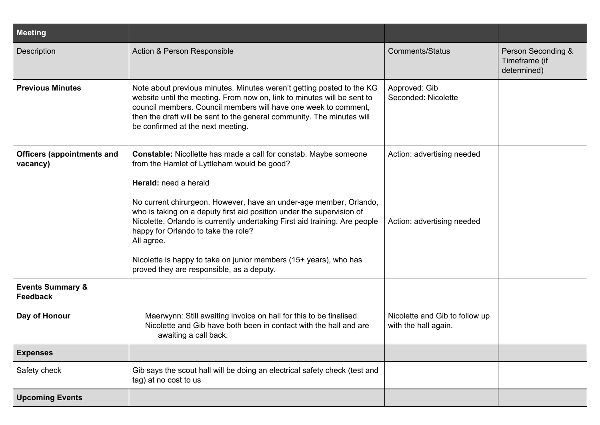| <b>Meeting</b>                                 |                                                                                                                                                                                                                                                                                                                                    |                                                        |                                                    |
|------------------------------------------------|------------------------------------------------------------------------------------------------------------------------------------------------------------------------------------------------------------------------------------------------------------------------------------------------------------------------------------|--------------------------------------------------------|----------------------------------------------------|
| Description                                    | Action & Person Responsible                                                                                                                                                                                                                                                                                                        | <b>Comments/Status</b>                                 | Person Seconding &<br>Timeframe (if<br>determined) |
| <b>Previous Minutes</b>                        | Note about previous minutes. Minutes weren't getting posted to the KG<br>website until the meeting. From now on, link to minutes will be sent to<br>council members. Council members will have one week to comment,<br>then the draft will be sent to the general community. The minutes will<br>be confirmed at the next meeting. | Approved: Gib<br>Seconded: Nicolette                   |                                                    |
| <b>Officers (appointments and</b><br>vacancy)  | <b>Constable:</b> Nicollette has made a call for constab. Maybe someone<br>from the Hamlet of Lyttleham would be good?                                                                                                                                                                                                             | Action: advertising needed                             |                                                    |
|                                                | Herald: need a herald                                                                                                                                                                                                                                                                                                              |                                                        |                                                    |
|                                                | No current chirurgeon. However, have an under-age member, Orlando,<br>who is taking on a deputy first aid position under the supervision of<br>Nicolette. Orlando is currently undertaking First aid training. Are people<br>happy for Orlando to take the role?<br>All agree.                                                     | Action: advertising needed                             |                                                    |
|                                                | Nicolette is happy to take on junior members (15+ years), who has<br>proved they are responsible, as a deputy.                                                                                                                                                                                                                     |                                                        |                                                    |
| <b>Events Summary &amp;</b><br><b>Feedback</b> |                                                                                                                                                                                                                                                                                                                                    |                                                        |                                                    |
| Day of Honour                                  | Maerwynn: Still awaiting invoice on hall for this to be finalised.<br>Nicolette and Gib have both been in contact with the hall and are<br>awaiting a call back.                                                                                                                                                                   | Nicolette and Gib to follow up<br>with the hall again. |                                                    |
| <b>Expenses</b>                                |                                                                                                                                                                                                                                                                                                                                    |                                                        |                                                    |
| Safety check                                   | Gib says the scout hall will be doing an electrical safety check (test and<br>tag) at no cost to us                                                                                                                                                                                                                                |                                                        |                                                    |
| <b>Upcoming Events</b>                         |                                                                                                                                                                                                                                                                                                                                    |                                                        |                                                    |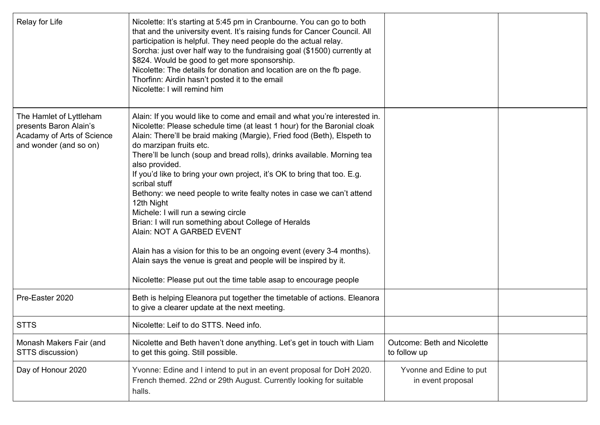| Relay for Life                                                                                            | Nicolette: It's starting at 5:45 pm in Cranbourne. You can go to both<br>that and the university event. It's raising funds for Cancer Council. All<br>participation is helpful. They need people do the actual relay.<br>Sorcha: just over half way to the fundraising goal (\$1500) currently at<br>\$824. Would be good to get more sponsorship.<br>Nicolette: The details for donation and location are on the fb page.<br>Thorfinn: Airdin hasn't posted it to the email<br>Nicolette: I will remind him                                                                                                                                                                                                                                                                                                                                                                                |                                                    |  |
|-----------------------------------------------------------------------------------------------------------|---------------------------------------------------------------------------------------------------------------------------------------------------------------------------------------------------------------------------------------------------------------------------------------------------------------------------------------------------------------------------------------------------------------------------------------------------------------------------------------------------------------------------------------------------------------------------------------------------------------------------------------------------------------------------------------------------------------------------------------------------------------------------------------------------------------------------------------------------------------------------------------------|----------------------------------------------------|--|
| The Hamlet of Lyttleham<br>presents Baron Alain's<br>Acadamy of Arts of Science<br>and wonder (and so on) | Alain: If you would like to come and email and what you're interested in.<br>Nicolette: Please schedule time (at least 1 hour) for the Baronial cloak<br>Alain: There'll be braid making (Margie), Fried food (Beth), Elspeth to<br>do marzipan fruits etc.<br>There'll be lunch (soup and bread rolls), drinks available. Morning tea<br>also provided.<br>If you'd like to bring your own project, it's OK to bring that too. E.g.<br>scribal stuff<br>Bethony: we need people to write fealty notes in case we can't attend<br>12th Night<br>Michele: I will run a sewing circle<br>Brian: I will run something about College of Heralds<br>Alain: NOT A GARBED EVENT<br>Alain has a vision for this to be an ongoing event (every 3-4 months).<br>Alain says the venue is great and people will be inspired by it.<br>Nicolette: Please put out the time table asap to encourage people |                                                    |  |
| Pre-Easter 2020                                                                                           | Beth is helping Eleanora put together the timetable of actions. Eleanora<br>to give a clearer update at the next meeting.                                                                                                                                                                                                                                                                                                                                                                                                                                                                                                                                                                                                                                                                                                                                                                   |                                                    |  |
| <b>STTS</b>                                                                                               | Nicolette: Leif to do STTS. Need info.                                                                                                                                                                                                                                                                                                                                                                                                                                                                                                                                                                                                                                                                                                                                                                                                                                                      |                                                    |  |
| Monash Makers Fair (and<br>STTS discussion)                                                               | Nicolette and Beth haven't done anything. Let's get in touch with Liam<br>to get this going. Still possible.                                                                                                                                                                                                                                                                                                                                                                                                                                                                                                                                                                                                                                                                                                                                                                                | <b>Outcome: Beth and Nicolette</b><br>to follow up |  |
| Day of Honour 2020                                                                                        | Yvonne: Edine and I intend to put in an event proposal for DoH 2020.<br>French themed. 22nd or 29th August. Currently looking for suitable<br>halls.                                                                                                                                                                                                                                                                                                                                                                                                                                                                                                                                                                                                                                                                                                                                        | Yvonne and Edine to put<br>in event proposal       |  |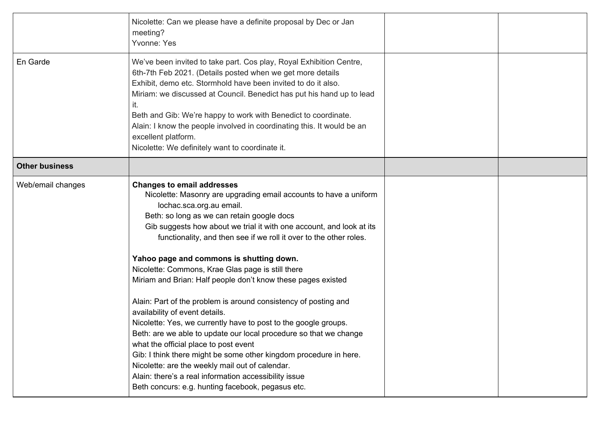|                       | Nicolette: Can we please have a definite proposal by Dec or Jan<br>meeting?<br>Yvonne: Yes                                                                                                                                                                                                                                                                                                                                                                                                                                                                                                                                                                                                                                                                                                                                                                                                                                                                             |  |
|-----------------------|------------------------------------------------------------------------------------------------------------------------------------------------------------------------------------------------------------------------------------------------------------------------------------------------------------------------------------------------------------------------------------------------------------------------------------------------------------------------------------------------------------------------------------------------------------------------------------------------------------------------------------------------------------------------------------------------------------------------------------------------------------------------------------------------------------------------------------------------------------------------------------------------------------------------------------------------------------------------|--|
| En Garde              | We've been invited to take part. Cos play, Royal Exhibition Centre,<br>6th-7th Feb 2021. (Details posted when we get more details<br>Exhibit, demo etc. Stormhold have been invited to do it also.<br>Miriam: we discussed at Council. Benedict has put his hand up to lead<br>it.<br>Beth and Gib: We're happy to work with Benedict to coordinate.<br>Alain: I know the people involved in coordinating this. It would be an<br>excellent platform.<br>Nicolette: We definitely want to coordinate it.                                                                                                                                                                                                                                                                                                                                                                                                                                                               |  |
| <b>Other business</b> |                                                                                                                                                                                                                                                                                                                                                                                                                                                                                                                                                                                                                                                                                                                                                                                                                                                                                                                                                                        |  |
| Web/email changes     | <b>Changes to email addresses</b><br>Nicolette: Masonry are upgrading email accounts to have a uniform<br>lochac.sca.org.au email.<br>Beth: so long as we can retain google docs<br>Gib suggests how about we trial it with one account, and look at its<br>functionality, and then see if we roll it over to the other roles.<br>Yahoo page and commons is shutting down.<br>Nicolette: Commons, Krae Glas page is still there<br>Miriam and Brian: Half people don't know these pages existed<br>Alain: Part of the problem is around consistency of posting and<br>availability of event details.<br>Nicolette: Yes, we currently have to post to the google groups.<br>Beth: are we able to update our local procedure so that we change<br>what the official place to post event<br>Gib: I think there might be some other kingdom procedure in here.<br>Nicolette: are the weekly mail out of calendar.<br>Alain: there's a real information accessibility issue |  |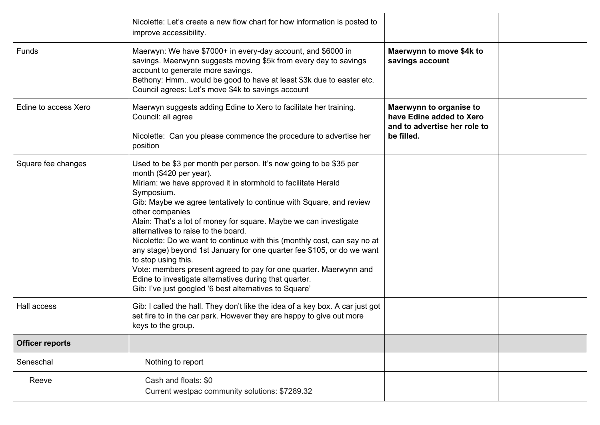|                        | Nicolette: Let's create a new flow chart for how information is posted to<br>improve accessibility.                                                                                                                                                                                                                                                                                                                                                                                                                                                                                                                                                                                                                                                      |                                                                                                   |  |
|------------------------|----------------------------------------------------------------------------------------------------------------------------------------------------------------------------------------------------------------------------------------------------------------------------------------------------------------------------------------------------------------------------------------------------------------------------------------------------------------------------------------------------------------------------------------------------------------------------------------------------------------------------------------------------------------------------------------------------------------------------------------------------------|---------------------------------------------------------------------------------------------------|--|
| Funds                  | Maerwyn: We have \$7000+ in every-day account, and \$6000 in<br>savings. Maerwynn suggests moving \$5k from every day to savings<br>account to generate more savings.<br>Bethony: Hmm would be good to have at least \$3k due to easter etc.<br>Council agrees: Let's move \$4k to savings account                                                                                                                                                                                                                                                                                                                                                                                                                                                       | Maerwynn to move \$4k to<br>savings account                                                       |  |
| Edine to access Xero   | Maerwyn suggests adding Edine to Xero to facilitate her training.<br>Council: all agree<br>Nicolette: Can you please commence the procedure to advertise her<br>position                                                                                                                                                                                                                                                                                                                                                                                                                                                                                                                                                                                 | Maerwynn to organise to<br>have Edine added to Xero<br>and to advertise her role to<br>be filled. |  |
| Square fee changes     | Used to be \$3 per month per person. It's now going to be \$35 per<br>month (\$420 per year).<br>Miriam: we have approved it in stormhold to facilitate Herald<br>Symposium.<br>Gib: Maybe we agree tentatively to continue with Square, and review<br>other companies<br>Alain: That's a lot of money for square. Maybe we can investigate<br>alternatives to raise to the board.<br>Nicolette: Do we want to continue with this (monthly cost, can say no at<br>any stage) beyond 1st January for one quarter fee \$105, or do we want<br>to stop using this.<br>Vote: members present agreed to pay for one quarter. Maerwynn and<br>Edine to investigate alternatives during that quarter.<br>Gib: I've just googled '6 best alternatives to Square' |                                                                                                   |  |
| Hall access            | Gib: I called the hall. They don't like the idea of a key box. A car just got<br>set fire to in the car park. However they are happy to give out more<br>keys to the group.                                                                                                                                                                                                                                                                                                                                                                                                                                                                                                                                                                              |                                                                                                   |  |
| <b>Officer reports</b> |                                                                                                                                                                                                                                                                                                                                                                                                                                                                                                                                                                                                                                                                                                                                                          |                                                                                                   |  |
| Seneschal              | Nothing to report                                                                                                                                                                                                                                                                                                                                                                                                                                                                                                                                                                                                                                                                                                                                        |                                                                                                   |  |
| Reeve                  | Cash and floats: \$0<br>Current westpac community solutions: \$7289.32                                                                                                                                                                                                                                                                                                                                                                                                                                                                                                                                                                                                                                                                                   |                                                                                                   |  |